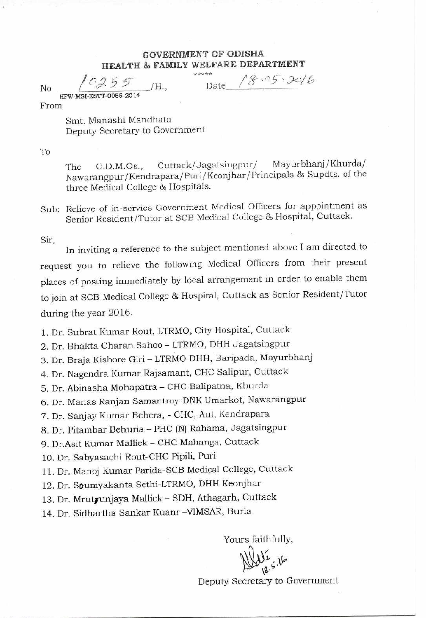## GOVERNMENT OF ODISHA HEALTH & FAMILY WELFARE DEPARTMENT

No  $($   $C255$   $/H$ ., Date **HFW-MSI-ES1?-0055 - 20 14** 

 $18.05 - 30/6$ 

From

Smt. Manashi Mandhata Deputy Secretary to Government

To

The C.D.M.Os., Cuttack/Jagaisingpur/ Mayurbhanj/Khurda/ Nawarangpur/Kendrapara/Puri/Keonjhar/Principals & Supdts. of the three Medical College 86 Hospitals.

Sub: Relieve of in-service Government Medical Officers for appointment as Senior Resident/Tutor at SCB Medical College & Hospital, Cuttack.

Sir,

In inviting a reference to the subject mentioned above T am directed to request you to relieve the following Medical Officers from their present places of posting immediately by local arrangement in order to enable them to join at SCB Medical College & Hospital, Cuttack as Senior Resident/Tutor during the year 2016.

1. Dr. Subrat Kumar Rout, LTRMO, City Hospital, Cuttack

2. Dr. Bhakta Charan Sahoo - LTRMO, DHH Jagatsingpur

3. Dr. Braja Kishore Giri - LTRMO DHH, Baripada, Mayurbhanj

4. Dr. Nagendra Kumar Rajsamant, CHC Salipur, Cuttack

5. Dr. Abinasha Mohapatra - CHC Balipatna, Khurda

6. Dr. Manas Ranjan Samantroy-DNK Umarkot, Nawarangpur

7. Dr. Sanjay Kumar Behera, - CIIC, Aul, Kendrapara

8. Dr. Pitambar Behuria - PHC (N) Rahama, Jagatsingpur

9. Dr.Asit Kumar Mallick - CHC Mahanga, Cuttack

10. Dr. Sabyasachi Rout-CHC Pipili, Puri

11. Dr. Manoj Kumar Parida-SCB Medical College, Cuttack

12. Dr. Saumyakanta Sethi-LTRMO, DHH Keonjhar

13. Dr. Mrutyunjaya Mallick - SDH, Athagarh, Cuttack

14. Dr. Sidhariha Sankar Kuanr -VIMSAR, Burla

Yours faithfully,

!.0

Deputy Secretary to Government